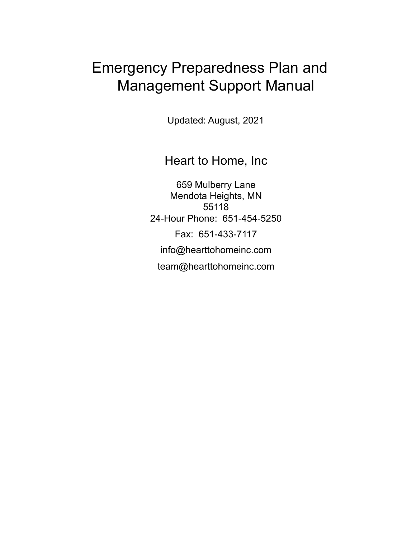# Emergency Preparedness Plan and Management Support Manual

Updated: August, 2021

Heart to Home, Inc

659 Mulberry Lane Mendota Heights, MN 55118 24-Hour Phone: 651-454-5250 Fax: 651-433-7117 [info@hearttohomeinc.com](mailto:generalemail@gmail.com) team@hearttohomeinc.com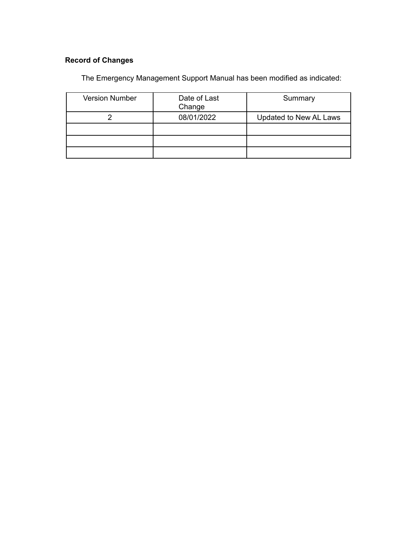# **Record of Changes**

The Emergency Management Support Manual has been modified as indicated:

| <b>Version Number</b> | Date of Last<br>Change | Summary                |
|-----------------------|------------------------|------------------------|
|                       | 08/01/2022             | Updated to New AL Laws |
|                       |                        |                        |
|                       |                        |                        |
|                       |                        |                        |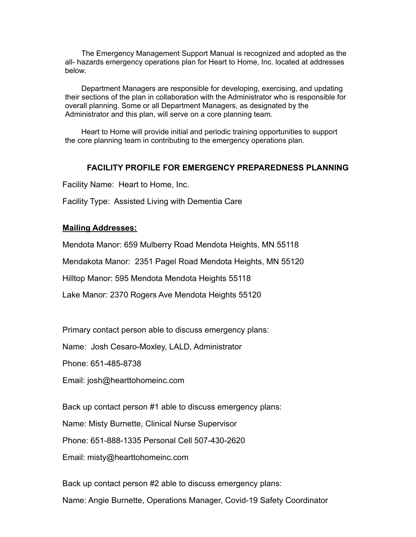The Emergency Management Support Manual is recognized and adopted as the all- hazards emergency operations plan for Heart to Home, Inc. located at addresses below.

Department Managers are responsible for developing, exercising, and updating their sections of the plan in collaboration with the Administrator who is responsible for overall planning. Some or all Department Managers, as designated by the Administrator and this plan, will serve on a core planning team.

Heart to Home will provide initial and periodic training opportunities to support the core planning team in contributing to the emergency operations plan.

### **FACILITY PROFILE FOR EMERGENCY PREPAREDNESS PLANNING**

Facility Name: Heart to Home, Inc.

Facility Type: Assisted Living with Dementia Care

#### **Mailing Addresses:**

Mendota Manor: 659 Mulberry Road Mendota Heights, MN 55118

Mendakota Manor: 2351 Pagel Road Mendota Heights, MN 55120

Hilltop Manor: 595 Mendota Mendota Heights 55118

Lake Manor: 2370 Rogers Ave Mendota Heights 55120

Primary contact person able to discuss emergency plans:

Name: Josh Cesaro-Moxley, LALD, Administrator

Phone: 651-485-8738

Email: josh@hearttohomeinc.com

Back up contact person #1 able to discuss emergency plans:

Name: Misty Burnette, Clinical Nurse Supervisor

Phone: 651-888-1335 Personal Cell 507-430-2620

Email: misty@hearttohomeinc.com

Back up contact person #2 able to discuss emergency plans: Name: Angie Burnette, Operations Manager, Covid-19 Safety Coordinator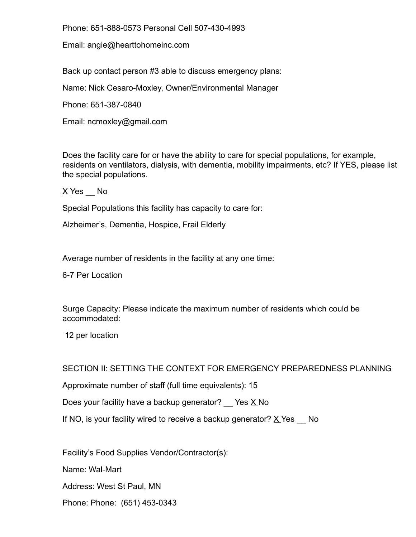Phone: 651-888-0573 Personal Cell 507-430-4993

Email: angie@hearttohomeinc.com

Back up contact person #3 able to discuss emergency plans:

Name: Nick Cesaro-Moxley, Owner/Environmental Manager

Phone: 651-387-0840

Email: ncmoxley@gmail.com

Does the facility care for or have the ability to care for special populations, for example, residents on ventilators, dialysis, with dementia, mobility impairments, etc? If YES, please list the special populations.

 $X$  Yes  $N$ o

Special Populations this facility has capacity to care for:

Alzheimer's, Dementia, Hospice, Frail Elderly

Average number of residents in the facility at any one time:

6-7 Per Location

Surge Capacity: Please indicate the maximum number of residents which could be accommodated:

12 per location

SECTION II: SETTING THE CONTEXT FOR EMERGENCY PREPAREDNESS PLANNING

Approximate number of staff (full time equivalents): 15

Does your facility have a backup generator?  $\angle$  Yes  $\underline{X}$  No

If NO, is your facility wired to receive a backup generator?  $\underline{X}$  Yes  $\underline{\hspace{1cm}}$  No

Facility's Food Supplies Vendor/Contractor(s):

Name: Wal-Mart

Address: West St Paul, MN

Phone: Phone: (651) 453-0343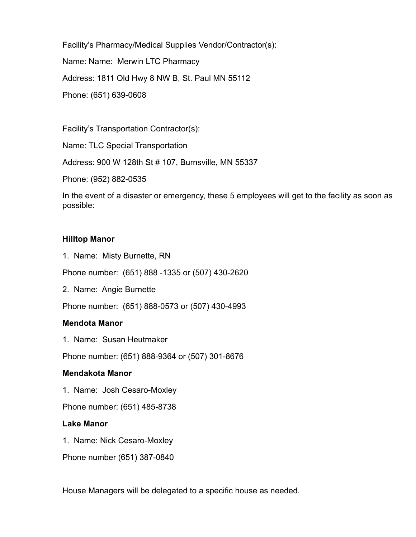Facility's Pharmacy/Medical Supplies Vendor/Contractor(s):

Name: Name: Merwin LTC Pharmacy

Address: 1811 Old Hwy 8 NW B, St. Paul MN 55112

Phone: (651) 639-0608

Facility's Transportation Contractor(s):

Name: TLC Special Transportation

Address: 900 W 128th St # 107, Burnsville, MN 55337

Phone: (952) 882-0535

In the event of a disaster or emergency, these 5 employees will get to the facility as soon as possible:

### **Hilltop Manor**

1. Name: Misty Burnette, RN

Phone number: (651) 888 -1335 or (507) 430-2620

2. Name: Angie Burnette

Phone number: (651) 888-0573 or (507) 430-4993

### **Mendota Manor**

1. Name: Susan Heutmaker

Phone number: (651) 888-9364 or (507) 301-8676

### **Mendakota Manor**

1. Name: Josh Cesaro-Moxley

Phone number: (651) 485-8738

### **Lake Manor**

- 1. Name: Nick Cesaro-Moxley
- Phone number (651) 387-0840

House Managers will be delegated to a specific house as needed.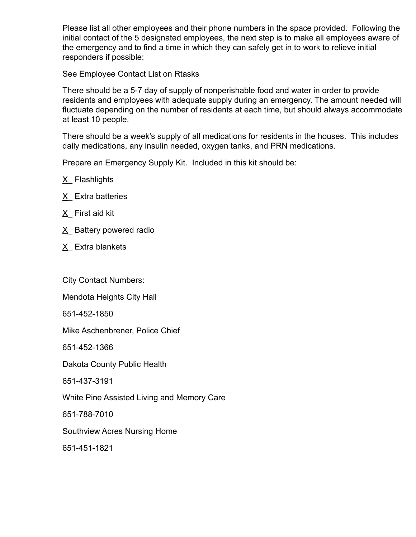Please list all other employees and their phone numbers in the space provided. Following the initial contact of the 5 designated employees, the next step is to make all employees aware of the emergency and to find a time in which they can safely get in to work to relieve initial responders if possible:

See Employee Contact List on Rtasks

There should be a 5-7 day of supply of nonperishable food and water in order to provide residents and employees with adequate supply during an emergency. The amount needed will fluctuate depending on the number of residents at each time, but should always accommodate at least 10 people.

There should be a week's supply of all medications for residents in the houses. This includes daily medications, any insulin needed, oxygen tanks, and PRN medications.

Prepare an Emergency Supply Kit. Included in this kit should be:

- X\_ Flashlights
- X<sub>\_</sub> Extra batteries
- $X$  First aid kit
- $X$  Battery powered radio
- X\_ Extra blankets

City Contact Numbers:

Mendota Heights City Hall

651-452-1850

Mike Aschenbrener, Police Chief

651-452-1366

Dakota County Public Health

651-437-3191

White Pine Assisted Living and Memory Care

651-788-7010

Southview Acres Nursing Home

651-451-1821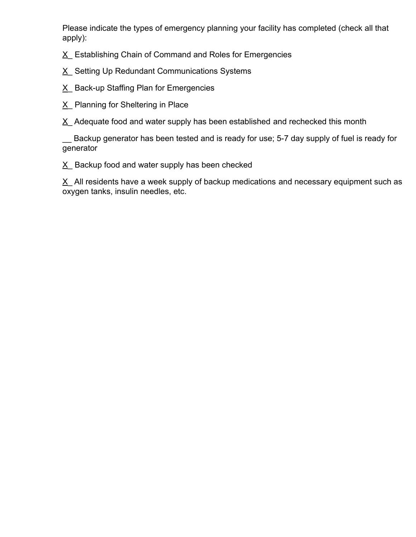Please indicate the types of emergency planning your facility has completed (check all that apply):

X\_ Establishing Chain of Command and Roles for Emergencies

- X\_ Setting Up Redundant Communications Systems
- X Back-up Staffing Plan for Emergencies
- X\_ Planning for Sheltering in Place

 $X$  Adequate food and water supply has been established and rechecked this month

\_\_ Backup generator has been tested and is ready for use; 5-7 day supply of fuel is ready for generator

 $X$  Backup food and water supply has been checked

 $X$  All residents have a week supply of backup medications and necessary equipment such as oxygen tanks, insulin needles, etc.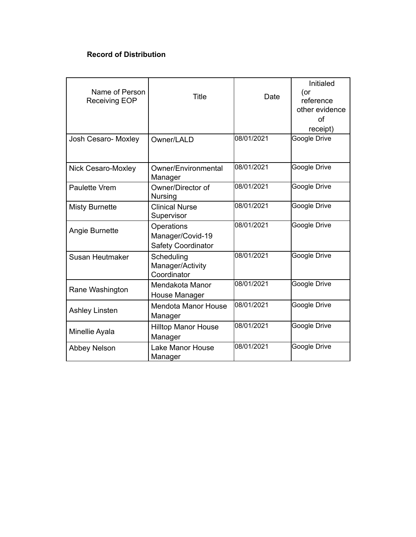# **Record of Distribution**

| Name of Person<br>Receiving EOP | <b>Title</b>                                         | Date       | Initialed<br>(or<br>reference<br>other evidence<br>Ωf<br>receipt) |
|---------------------------------|------------------------------------------------------|------------|-------------------------------------------------------------------|
| Josh Cesaro- Moxley             | Owner/LALD                                           | 08/01/2021 | Google Drive                                                      |
| <b>Nick Cesaro-Moxley</b>       | Owner/Environmental<br>Manager                       | 08/01/2021 | Google Drive                                                      |
| Paulette Vrem                   | Owner/Director of<br>Nursing                         | 08/01/2021 | Google Drive                                                      |
| <b>Misty Burnette</b>           | <b>Clinical Nurse</b><br>Supervisor                  | 08/01/2021 | Google Drive                                                      |
| Angie Burnette                  | Operations<br>Manager/Covid-19<br>Safety Coordinator | 08/01/2021 | <b>Google Drive</b>                                               |
| Susan Heutmaker                 | Scheduling<br>Manager/Activity<br>Coordinator        | 08/01/2021 | Google Drive                                                      |
| Rane Washington                 | Mendakota Manor<br>House Manager                     | 08/01/2021 | Google Drive                                                      |
| <b>Ashley Linsten</b>           | <b>Mendota Manor House</b><br>Manager                | 08/01/2021 | Google Drive                                                      |
| Minellie Ayala                  | <b>Hilltop Manor House</b><br>Manager                | 08/01/2021 | Google Drive                                                      |
| <b>Abbey Nelson</b>             | <b>Lake Manor House</b><br>Manager                   | 08/01/2021 | Google Drive                                                      |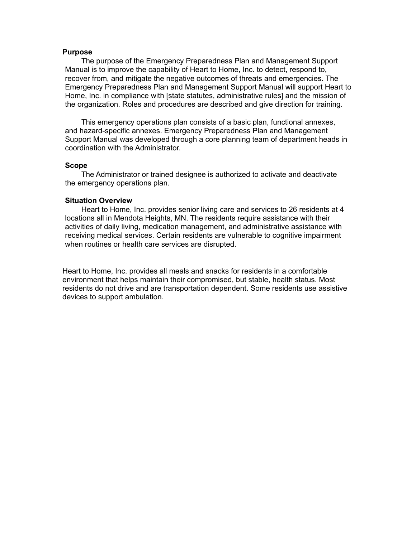#### **Purpose**

The purpose of the Emergency Preparedness Plan and Management Support Manual is to improve the capability of Heart to Home, Inc. to detect, respond to, recover from, and mitigate the negative outcomes of threats and emergencies. The Emergency Preparedness Plan and Management Support Manual will support Heart to Home, Inc. in compliance with [state statutes, administrative rules] and the mission of the organization. Roles and procedures are described and give direction for training.

This emergency operations plan consists of a basic plan, functional annexes, and hazard-specific annexes. Emergency Preparedness Plan and Management Support Manual was developed through a core planning team of department heads in coordination with the Administrator.

#### **Scope**

The Administrator or trained designee is authorized to activate and deactivate the emergency operations plan.

#### **Situation Overview**

Heart to Home, Inc. provides senior living care and services to 26 residents at 4 locations all in Mendota Heights, MN. The residents require assistance with their activities of daily living, medication management, and administrative assistance with receiving medical services. Certain residents are vulnerable to cognitive impairment when routines or health care services are disrupted.

Heart to Home, Inc. provides all meals and snacks for residents in a comfortable environment that helps maintain their compromised, but stable, health status. Most residents do not drive and are transportation dependent. Some residents use assistive devices to support ambulation.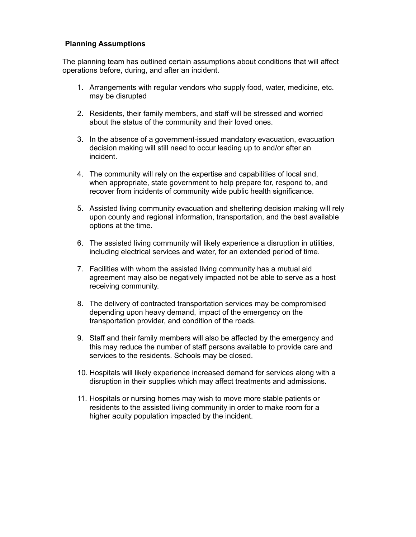#### **Planning Assumptions**

The planning team has outlined certain assumptions about conditions that will affect operations before, during, and after an incident.

- 1. Arrangements with regular vendors who supply food, water, medicine, etc. may be disrupted
- 2. Residents, their family members, and staff will be stressed and worried about the status of the community and their loved ones.
- 3. In the absence of a government-issued mandatory evacuation, evacuation decision making will still need to occur leading up to and/or after an incident.
- 4. The community will rely on the expertise and capabilities of local and, when appropriate, state government to help prepare for, respond to, and recover from incidents of community wide public health significance.
- 5. Assisted living community evacuation and sheltering decision making will rely upon county and regional information, transportation, and the best available options at the time.
- 6. The assisted living community will likely experience a disruption in utilities, including electrical services and water, for an extended period of time.
- 7. Facilities with whom the assisted living community has a mutual aid agreement may also be negatively impacted not be able to serve as a host receiving community.
- 8. The delivery of contracted transportation services may be compromised depending upon heavy demand, impact of the emergency on the transportation provider, and condition of the roads.
- 9. Staff and their family members will also be affected by the emergency and this may reduce the number of staff persons available to provide care and services to the residents. Schools may be closed.
- 10. Hospitals will likely experience increased demand for services along with a disruption in their supplies which may affect treatments and admissions.
- 11. Hospitals or nursing homes may wish to move more stable patients or residents to the assisted living community in order to make room for a higher acuity population impacted by the incident.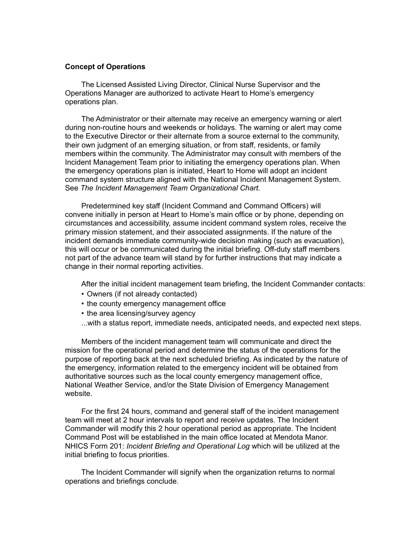#### **Concept of Operations**

The Licensed Assisted Living Director, Clinical Nurse Supervisor and the Operations Manager are authorized to activate Heart to Home's emergency operations plan.

The Administrator or their alternate may receive an emergency warning or alert during non-routine hours and weekends or holidays. The warning or alert may come to the Executive Director or their alternate from a source external to the community, their own judgment of an emerging situation, or from staff, residents, or family members within the community. The Administrator may consult with members of the Incident Management Team prior to initiating the emergency operations plan. When the emergency operations plan is initiated, Heart to Home will adopt an incident command system structure aligned with the National Incident Management System. See *The Incident Management Team Organizational Chart.*

Predetermined key staff (Incident Command and Command Officers) will convene initially in person at Heart to Home's main office or by phone, depending on circumstances and accessibility, assume incident command system roles, receive the primary mission statement, and their associated assignments. If the nature of the incident demands immediate community-wide decision making (such as evacuation), this will occur or be communicated during the initial briefing. Off-duty staff members not part of the advance team will stand by for further instructions that may indicate a change in their normal reporting activities.

After the initial incident management team briefing, the Incident Commander contacts:

- Owners (if not already contacted)
- the county emergency management office
- the area licensing/survey agency
- ...with a status report, immediate needs, anticipated needs, and expected next steps.

Members of the incident management team will communicate and direct the mission for the operational period and determine the status of the operations for the purpose of reporting back at the next scheduled briefing. As indicated by the nature of the emergency, information related to the emergency incident will be obtained from authoritative sources such as the local county emergency management office, National Weather Service, and/or the State Division of Emergency Management website.

For the first 24 hours, command and general staff of the incident management team will meet at 2 hour intervals to report and receive updates. The Incident Commander will modify this 2 hour operational period as appropriate. The Incident Command Post will be established in the main office located at Mendota Manor. NHICS Form 201: *Incident Briefing and Operational Log* which will be utilized at the initial briefing to focus priorities.

The Incident Commander will signify when the organization returns to normal operations and briefings conclude.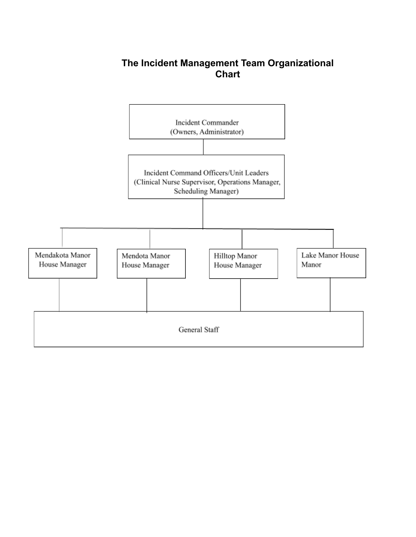# **The Incident Management Team Organizational Chart**

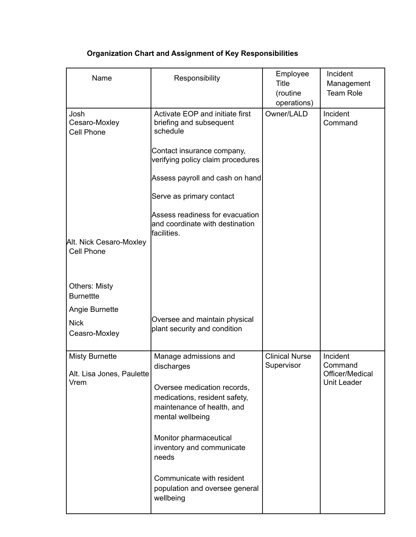| Name                                                       | Responsibility                                                                                                                                                                                                                                                                                    | Employee<br><b>Title</b><br>(routine<br>operations) | Incident<br>Management<br><b>Team Role</b>                   |
|------------------------------------------------------------|---------------------------------------------------------------------------------------------------------------------------------------------------------------------------------------------------------------------------------------------------------------------------------------------------|-----------------------------------------------------|--------------------------------------------------------------|
| Josh<br>Cesaro-Moxley<br><b>Cell Phone</b>                 | Activate EOP and initiate first<br>briefing and subsequent<br>schedule<br>Contact insurance company,<br>verifying policy claim procedures<br>Assess payroll and cash on hand<br>Serve as primary contact<br>Assess readiness for evacuation<br>and coordinate with destination                    | Owner/LALD                                          | Incident<br>Command                                          |
| Alt. Nick Cesaro-Moxley<br>Cell Phone                      | facilities.                                                                                                                                                                                                                                                                                       |                                                     |                                                              |
| <b>Others: Misty</b><br><b>Burnettte</b>                   |                                                                                                                                                                                                                                                                                                   |                                                     |                                                              |
| Angie Burnette<br><b>Nick</b><br>Ceasro-Moxley             | Oversee and maintain physical<br>plant security and condition                                                                                                                                                                                                                                     |                                                     |                                                              |
| <b>Misty Burnette</b><br>Alt. Lisa Jones, Paulette<br>Vrem | Manage admissions and<br>discharges<br>Oversee medication records,<br>medications, resident safety,<br>maintenance of health, and<br>mental wellbeing<br>Monitor pharmaceutical<br>inventory and communicate<br>needs<br>Communicate with resident<br>population and oversee general<br>wellbeing | <b>Clinical Nurse</b><br>Supervisor                 | Incident<br>Command<br>Officer/Medical<br><b>Unit Leader</b> |

# **Organization Chart and Assignment of Key Responsibilities**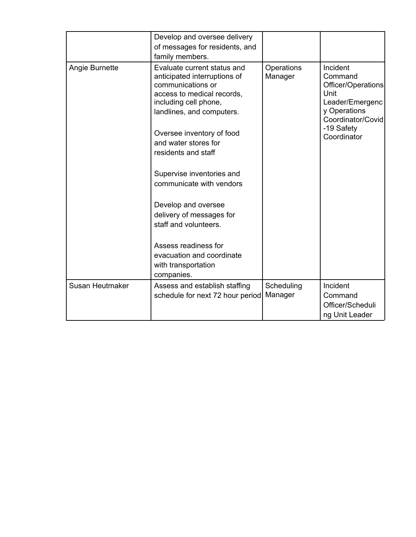|                 | Develop and oversee delivery<br>of messages for residents, and<br>family members.                                                                                                                                                                                                                                                                                                                                                                                               |                       |                                                                                                                                        |
|-----------------|---------------------------------------------------------------------------------------------------------------------------------------------------------------------------------------------------------------------------------------------------------------------------------------------------------------------------------------------------------------------------------------------------------------------------------------------------------------------------------|-----------------------|----------------------------------------------------------------------------------------------------------------------------------------|
| Angie Burnette  | Evaluate current status and<br>anticipated interruptions of<br>communications or<br>access to medical records,<br>including cell phone,<br>landlines, and computers.<br>Oversee inventory of food<br>and water stores for<br>residents and staff<br>Supervise inventories and<br>communicate with vendors<br>Develop and oversee<br>delivery of messages for<br>staff and volunteers.<br>Assess readiness for<br>evacuation and coordinate<br>with transportation<br>companies. | Operations<br>Manager | Incident<br>Command<br>Officer/Operations<br>Unit<br>Leader/Emergenc<br>y Operations<br>Coordinator/Covid<br>-19 Safety<br>Coordinator |
| Susan Heutmaker | Assess and establish staffing<br>schedule for next 72 hour period                                                                                                                                                                                                                                                                                                                                                                                                               | Scheduling<br>Manager | Incident<br>Command<br>Officer/Scheduli<br>ng Unit Leader                                                                              |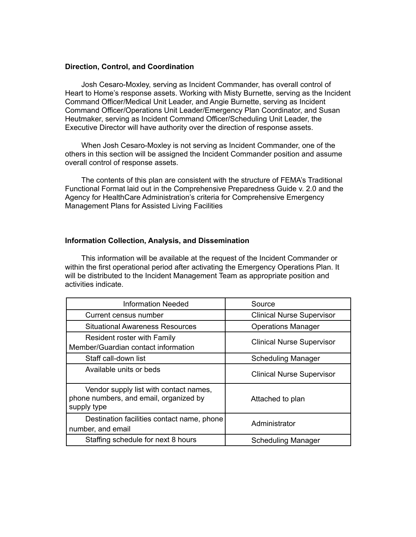#### **Direction, Control, and Coordination**

Josh Cesaro-Moxley, serving as Incident Commander, has overall control of Heart to Home's response assets. Working with Misty Burnette, serving as the Incident Command Officer/Medical Unit Leader, and Angie Burnette, serving as Incident Command Officer/Operations Unit Leader/Emergency Plan Coordinator, and Susan Heutmaker, serving as Incident Command Officer/Scheduling Unit Leader, the Executive Director will have authority over the direction of response assets.

When Josh Cesaro-Moxley is not serving as Incident Commander, one of the others in this section will be assigned the Incident Commander position and assume overall control of response assets.

The contents of this plan are consistent with the structure of FEMA's Traditional Functional Format laid out in the Comprehensive Preparedness Guide v. 2.0 and the Agency for HealthCare Administration's criteria for Comprehensive Emergency Management Plans for Assisted Living Facilities

#### **Information Collection, Analysis, and Dissemination**

This information will be available at the request of the Incident Commander or within the first operational period after activating the Emergency Operations Plan. It will be distributed to the Incident Management Team as appropriate position and activities indicate.

| <b>Information Needed</b>                                                                       | Source                           |
|-------------------------------------------------------------------------------------------------|----------------------------------|
| Current census number                                                                           | <b>Clinical Nurse Supervisor</b> |
| <b>Situational Awareness Resources</b>                                                          | <b>Operations Manager</b>        |
| Resident roster with Family<br>Member/Guardian contact information                              | <b>Clinical Nurse Supervisor</b> |
| Staff call-down list                                                                            | <b>Scheduling Manager</b>        |
| Available units or beds                                                                         | <b>Clinical Nurse Supervisor</b> |
| Vendor supply list with contact names,<br>phone numbers, and email, organized by<br>supply type | Attached to plan                 |
| Destination facilities contact name, phone<br>number, and email                                 | Administrator                    |
| Staffing schedule for next 8 hours                                                              | <b>Scheduling Manager</b>        |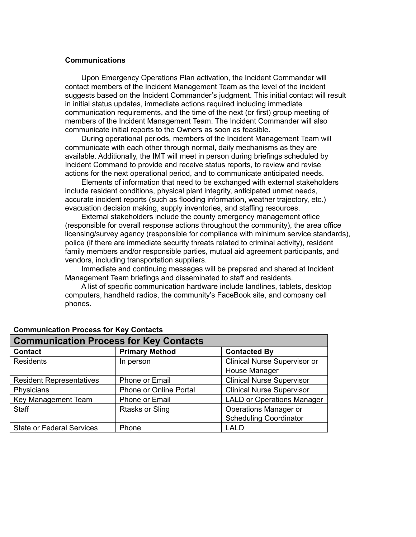#### **Communications**

Upon Emergency Operations Plan activation, the Incident Commander will contact members of the Incident Management Team as the level of the incident suggests based on the Incident Commander's judgment. This initial contact will result in initial status updates, immediate actions required including immediate communication requirements, and the time of the next (or first) group meeting of members of the Incident Management Team. The Incident Commander will also communicate initial reports to the Owners as soon as feasible.

During operational periods, members of the Incident Management Team will communicate with each other through normal, daily mechanisms as they are available. Additionally, the IMT will meet in person during briefings scheduled by Incident Command to provide and receive status reports, to review and revise actions for the next operational period, and to communicate anticipated needs.

Elements of information that need to be exchanged with external stakeholders include resident conditions, physical plant integrity, anticipated unmet needs, accurate incident reports (such as flooding information, weather trajectory, etc.) evacuation decision making, supply inventories, and staffing resources.

External stakeholders include the county emergency management office (responsible for overall response actions throughout the community), the area office licensing/survey agency (responsible for compliance with minimum service standards), police (if there are immediate security threats related to criminal activity), resident family members and/or responsible parties, mutual aid agreement participants, and vendors, including transportation suppliers.

Immediate and continuing messages will be prepared and shared at Incident Management Team briefings and disseminated to staff and residents.

A list of specific communication hardware include landlines, tablets, desktop computers, handheld radios, the community's FaceBook site, and company cell phones.

| <b>Communication Process for Key Contacts</b> |                        |                                     |  |
|-----------------------------------------------|------------------------|-------------------------------------|--|
| <b>Contact</b>                                | <b>Primary Method</b>  | <b>Contacted By</b>                 |  |
| <b>Residents</b>                              | In person              | <b>Clinical Nurse Supervisor or</b> |  |
|                                               |                        | House Manager                       |  |
| <b>Resident Representatives</b>               | Phone or Email         | <b>Clinical Nurse Supervisor</b>    |  |
| Physicians                                    | Phone or Online Portal | <b>Clinical Nurse Supervisor</b>    |  |
| Key Management Team                           | Phone or Email         | <b>LALD or Operations Manager</b>   |  |
| <b>Staff</b>                                  | <b>Rtasks or Sling</b> | Operations Manager or               |  |
|                                               |                        | <b>Scheduling Coordinator</b>       |  |
| <b>State or Federal Services</b>              | Phone                  | <b>LALD</b>                         |  |

#### **Communication Process for Key Contacts**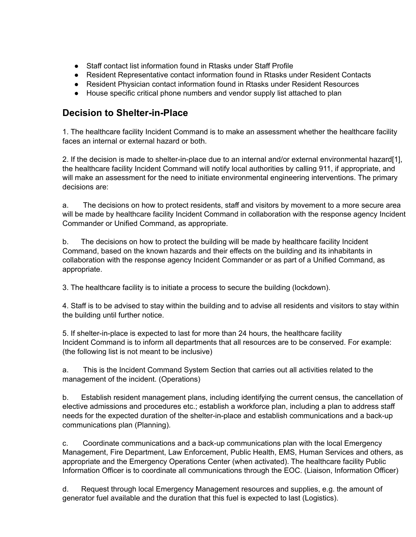- Staff contact list information found in Rtasks under Staff Profile
- Resident Representative contact information found in Rtasks under Resident Contacts
- Resident Physician contact information found in Rtasks under Resident Resources
- House specific critical phone numbers and vendor supply list attached to plan

# **Decision to Shelter-in-Place**

1. The healthcare facility Incident Command is to make an assessment whether the healthcare facility faces an internal or external hazard or both.

2. If the decision is made to shelter-in-place due to an internal and/or external environmental hazard[1], the healthcare facility Incident Command will notify local authorities by calling 911, if appropriate, and will make an assessment for the need to initiate environmental engineering interventions. The primary decisions are:

a. The decisions on how to protect residents, staff and visitors by movement to a more secure area will be made by healthcare facility Incident Command in collaboration with the response agency Incident Commander or Unified Command, as appropriate.

b. The decisions on how to protect the building will be made by healthcare facility Incident Command, based on the known hazards and their effects on the building and its inhabitants in collaboration with the response agency Incident Commander or as part of a Unified Command, as appropriate.

3. The healthcare facility is to initiate a process to secure the building (lockdown).

4. Staff is to be advised to stay within the building and to advise all residents and visitors to stay within the building until further notice.

5. If shelter-in-place is expected to last for more than 24 hours, the healthcare facility Incident Command is to inform all departments that all resources are to be conserved. For example: (the following list is not meant to be inclusive)

a. This is the Incident Command System Section that carries out all activities related to the management of the incident. (Operations)

b. Establish resident management plans, including identifying the current census, the cancellation of elective admissions and procedures etc.; establish a workforce plan, including a plan to address staff needs for the expected duration of the shelter-in-place and establish communications and a back-up communications plan (Planning).

c. Coordinate communications and a back-up communications plan with the local Emergency Management, Fire Department, Law Enforcement, Public Health, EMS, Human Services and others, as appropriate and the Emergency Operations Center (when activated). The healthcare facility Public Information Officer is to coordinate all communications through the EOC. (Liaison, Information Officer)

d. Request through local Emergency Management resources and supplies, e.g. the amount of generator fuel available and the duration that this fuel is expected to last (Logistics).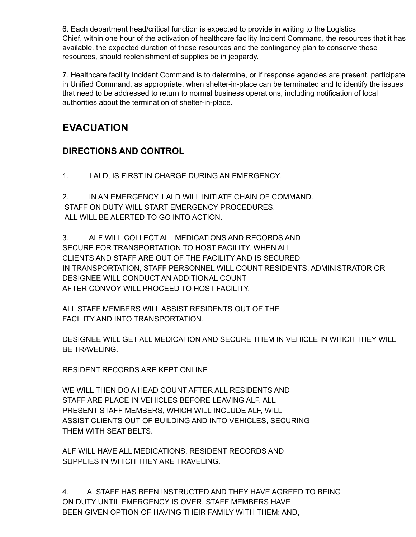6. Each department head/critical function is expected to provide in writing to the Logistics Chief, within one hour of the activation of healthcare facility Incident Command, the resources that it has available, the expected duration of these resources and the contingency plan to conserve these resources, should replenishment of supplies be in jeopardy.

7. Healthcare facility Incident Command is to determine, or if response agencies are present, participate in Unified Command, as appropriate, when shelter-in-place can be terminated and to identify the issues that need to be addressed to return to normal business operations, including notification of local authorities about the termination of shelter-in-place.

# **EVACUATION**

# **DIRECTIONS AND CONTROL**

1. LALD, IS FIRST IN CHARGE DURING AN EMERGENCY.

2. IN AN EMERGENCY, LALD WILL INITIATE CHAIN OF COMMAND. STAFF ON DUTY WILL START EMERGENCY PROCEDURES. ALL WILL BE ALERTED TO GO INTO ACTION.

3. ALF WILL COLLECT ALL MEDICATIONS AND RECORDS AND SECURE FOR TRANSPORTATION TO HOST FACILITY. WHEN ALL CLIENTS AND STAFF ARE OUT OF THE FACILITY AND IS SECURED IN TRANSPORTATION, STAFF PERSONNEL WILL COUNT RESIDENTS. ADMINISTRATOR OR DESIGNEE WILL CONDUCT AN ADDITIONAL COUNT AFTER CONVOY WILL PROCEED TO HOST FACILITY.

ALL STAFF MEMBERS WILL ASSIST RESIDENTS OUT OF THE FACILITY AND INTO TRANSPORTATION.

DESIGNEE WILL GET ALL MEDICATION AND SECURE THEM IN VEHICLE IN WHICH THEY WILL BE TRAVELING.

RESIDENT RECORDS ARE KEPT ONLINE

WE WILL THEN DO A HEAD COUNT AFTER ALL RESIDENTS AND STAFF ARE PLACE IN VEHICLES BEFORE LEAVING ALF. ALL PRESENT STAFF MEMBERS, WHICH WILL INCLUDE ALF, WILL ASSIST CLIENTS OUT OF BUILDING AND INTO VEHICLES, SECURING THEM WITH SEAT BELTS.

ALF WILL HAVE ALL MEDICATIONS, RESIDENT RECORDS AND SUPPLIES IN WHICH THEY ARE TRAVELING.

4. A. STAFF HAS BEEN INSTRUCTED AND THEY HAVE AGREED TO BEING ON DUTY UNTIL EMERGENCY IS OVER. STAFF MEMBERS HAVE BEEN GIVEN OPTION OF HAVING THEIR FAMILY WITH THEM; AND,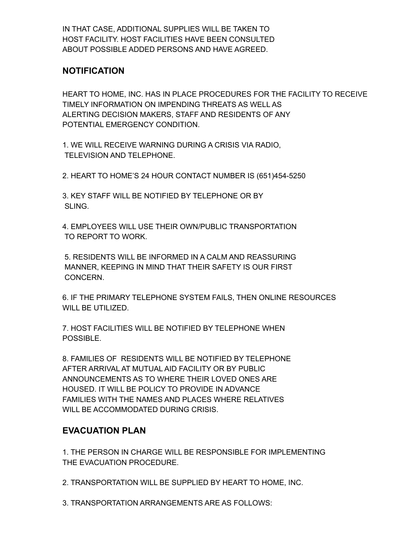IN THAT CASE, ADDITIONAL SUPPLIES WILL BE TAKEN TO HOST FACILITY. HOST FACILITIES HAVE BEEN CONSULTED ABOUT POSSIBLE ADDED PERSONS AND HAVE AGREED.

# **NOTIFICATION**

HEART TO HOME, INC. HAS IN PLACE PROCEDURES FOR THE FACILITY TO RECEIVE TIMELY INFORMATION ON IMPENDING THREATS AS WELL AS ALERTING DECISION MAKERS, STAFF AND RESIDENTS OF ANY POTENTIAL EMERGENCY CONDITION.

1. WE WILL RECEIVE WARNING DURING A CRISIS VIA RADIO, TELEVISION AND TELEPHONE.

2. HEART TO HOME'S 24 HOUR CONTACT NUMBER IS (651)454-5250

3. KEY STAFF WILL BE NOTIFIED BY TELEPHONE OR BY SLING.

4. EMPLOYEES WILL USE THEIR OWN/PUBLIC TRANSPORTATION TO REPORT TO WORK.

5. RESIDENTS WILL BE INFORMED IN A CALM AND REASSURING MANNER, KEEPING IN MIND THAT THEIR SAFETY IS OUR FIRST CONCERN.

6. IF THE PRIMARY TELEPHONE SYSTEM FAILS, THEN ONLINE RESOURCES WILL BE UTILIZED.

7. HOST FACILITIES WILL BE NOTIFIED BY TELEPHONE WHEN POSSIBLE.

8. FAMILIES OF RESIDENTS WILL BE NOTIFIED BY TELEPHONE AFTER ARRIVAL AT MUTUAL AID FACILITY OR BY PUBLIC ANNOUNCEMENTS AS TO WHERE THEIR LOVED ONES ARE HOUSED. IT WILL BE POLICY TO PROVIDE IN ADVANCE FAMILIES WITH THE NAMES AND PLACES WHERE RELATIVES WILL BE ACCOMMODATED DURING CRISIS.

# **EVACUATION PLAN**

1. THE PERSON IN CHARGE WILL BE RESPONSIBLE FOR IMPLEMENTING THE EVACUATION PROCEDURE.

2. TRANSPORTATION WILL BE SUPPLIED BY HEART TO HOME, INC.

3. TRANSPORTATION ARRANGEMENTS ARE AS FOLLOWS: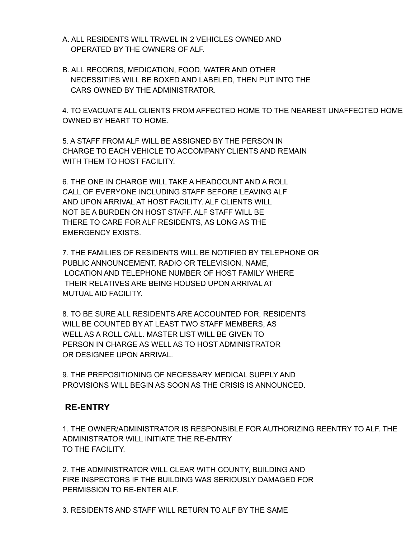- A. ALL RESIDENTS WILL TRAVEL IN 2 VEHICLES OWNED AND OPERATED BY THE OWNERS OF ALF.
- B. ALL RECORDS, MEDICATION, FOOD, WATER AND OTHER NECESSITIES WILL BE BOXED AND LABELED, THEN PUT INTO THE CARS OWNED BY THE ADMINISTRATOR.

4. TO EVACUATE ALL CLIENTS FROM AFFECTED HOME TO THE NEAREST UNAFFECTED HOME OWNED BY HEART TO HOME.

5. A STAFF FROM ALF WILL BE ASSIGNED BY THE PERSON IN CHARGE TO EACH VEHICLE TO ACCOMPANY CLIENTS AND REMAIN WITH THEM TO HOST FACILITY.

6. THE ONE IN CHARGE WILL TAKE A HEADCOUNT AND A ROLL CALL OF EVERYONE INCLUDING STAFF BEFORE LEAVING ALF AND UPON ARRIVAL AT HOST FACILITY. ALF CLIENTS WILL NOT BE A BURDEN ON HOST STAFF. ALF STAFF WILL BE THERE TO CARE FOR ALF RESIDENTS, AS LONG AS THE EMERGENCY EXISTS.

7. THE FAMILIES OF RESIDENTS WILL BE NOTIFIED BY TELEPHONE OR PUBLIC ANNOUNCEMENT, RADIO OR TELEVISION, NAME, LOCATION AND TELEPHONE NUMBER OF HOST FAMILY WHERE THEIR RELATIVES ARE BEING HOUSED UPON ARRIVAL AT MUTUAL AID FACILITY.

8. TO BE SURE ALL RESIDENTS ARE ACCOUNTED FOR, RESIDENTS WILL BE COUNTED BY AT LEAST TWO STAFF MEMBERS, AS WELL AS A ROLL CALL. MASTER LIST WILL BE GIVEN TO PERSON IN CHARGE AS WELL AS TO HOST ADMINISTRATOR OR DESIGNEE UPON ARRIVAL.

9. THE PREPOSITIONING OF NECESSARY MEDICAL SUPPLY AND PROVISIONS WILL BEGIN AS SOON AS THE CRISIS IS ANNOUNCED.

# **RE-ENTRY**

1. THE OWNER/ADMINISTRATOR IS RESPONSIBLE FOR AUTHORIZING REENTRY TO ALF. THE ADMINISTRATOR WILL INITIATE THE RE-ENTRY TO THE FACILITY.

2. THE ADMINISTRATOR WILL CLEAR WITH COUNTY, BUILDING AND FIRE INSPECTORS IF THE BUILDING WAS SERIOUSLY DAMAGED FOR PERMISSION TO RE-ENTER ALF.

3. RESIDENTS AND STAFF WILL RETURN TO ALF BY THE SAME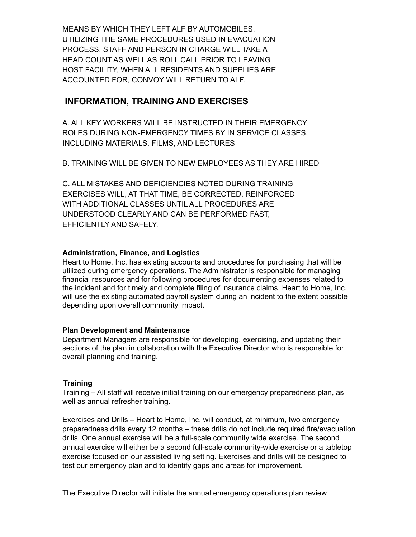MEANS BY WHICH THEY LEFT ALF BY AUTOMOBILES, UTILIZING THE SAME PROCEDURES USED IN EVACUATION PROCESS, STAFF AND PERSON IN CHARGE WILL TAKE A HEAD COUNT AS WELL AS ROLL CALL PRIOR TO LEAVING HOST FACILITY, WHEN ALL RESIDENTS AND SUPPLIES ARE ACCOUNTED FOR, CONVOY WILL RETURN TO ALF.

## **INFORMATION, TRAINING AND EXERCISES**

A. ALL KEY WORKERS WILL BE INSTRUCTED IN THEIR EMERGENCY ROLES DURING NON-EMERGENCY TIMES BY IN SERVICE CLASSES, INCLUDING MATERIALS, FILMS, AND LECTURES

B. TRAINING WILL BE GIVEN TO NEW EMPLOYEES AS THEY ARE HIRED

C. ALL MISTAKES AND DEFICIENCIES NOTED DURING TRAINING EXERCISES WILL, AT THAT TIME, BE CORRECTED, REINFORCED WITH ADDITIONAL CLASSES UNTIL ALL PROCEDURES ARE UNDERSTOOD CLEARLY AND CAN BE PERFORMED FAST, EFFICIENTLY AND SAFELY.

#### **Administration, Finance, and Logistics**

Heart to Home, Inc. has existing accounts and procedures for purchasing that will be utilized during emergency operations. The Administrator is responsible for managing financial resources and for following procedures for documenting expenses related to the incident and for timely and complete filing of insurance claims. Heart to Home, Inc. will use the existing automated payroll system during an incident to the extent possible depending upon overall community impact.

#### **Plan Development and Maintenance**

Department Managers are responsible for developing, exercising, and updating their sections of the plan in collaboration with the Executive Director who is responsible for overall planning and training.

#### **Training**

Training – All staff will receive initial training on our emergency preparedness plan, as well as annual refresher training.

Exercises and Drills – Heart to Home, Inc. will conduct, at minimum, two emergency preparedness drills every 12 months – these drills do not include required fire/evacuation drills. One annual exercise will be a full-scale community wide exercise. The second annual exercise will either be a second full-scale community-wide exercise or a tabletop exercise focused on our assisted living setting. Exercises and drills will be designed to test our emergency plan and to identify gaps and areas for improvement.

The Executive Director will initiate the annual emergency operations plan review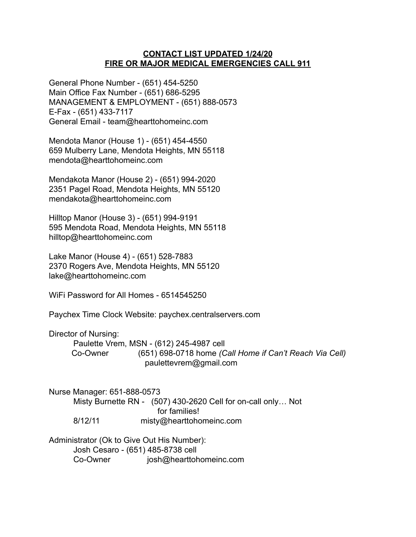### **CONTACT LIST UPDATED 1/24/20 FIRE OR MAJOR MEDICAL EMERGENCIES CALL 911**

General Phone Number - (651) 454-5250 Main Office Fax Number - (651) 686-5295 MANAGEMENT & EMPLOYMENT - (651) 888-0573 E-Fax - (651) 433-7117 General Email - team@hearttohomeinc.com

Mendota Manor (House 1) - (651) 454-4550 659 Mulberry Lane, Mendota Heights, MN 55118 mendota@hearttohomeinc.com

Mendakota Manor (House 2) - (651) 994-2020 2351 Pagel Road, Mendota Heights, MN 55120 mendakota@hearttohomeinc.com

Hilltop Manor (House 3) - (651) 994-9191 595 Mendota Road, Mendota Heights, MN 55118 hilltop@hearttohomeinc.com

Lake Manor (House 4) - (651) 528-7883 2370 Rogers Ave, Mendota Heights, MN 55120 lake@hearttohomeinc.com

WiFi Password for All Homes - 6514545250

Paychex Time Clock Website: paychex.centralservers.com

Director of Nursing:

Paulette Vrem, MSN - (612) 245-4987 cell Co-Owner (651) 698-0718 home *(Call Home if Can't Reach Via Cell)* paulettevrem@gmail.com

Nurse Manager: 651-888-0573 Misty Burnette RN - (507) 430-2620 Cell for on-call only… Not for families! 8/12/11 misty@hearttohomeinc.com

Administrator (Ok to Give Out His Number): Josh Cesaro - (651) 485-8738 cell Co-Owner josh@hearttohomeinc.com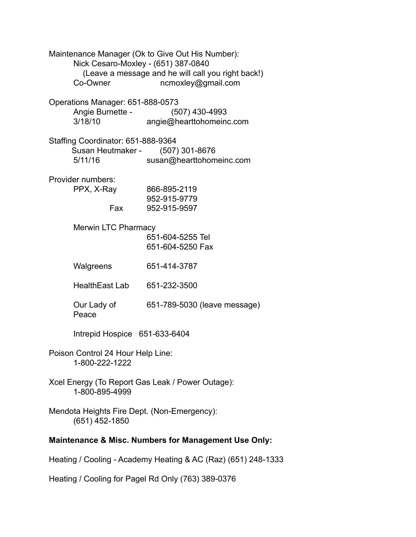| Maintenance Manager (Ok to Give Out His Number):<br>Nick Cesaro-Moxley - (651) 387-0840<br>Co-Owner | (Leave a message and he will call you right back!)<br>ncmoxley@gmail.com |  |
|-----------------------------------------------------------------------------------------------------|--------------------------------------------------------------------------|--|
| Operations Manager: 651-888-0573<br>Angie Burnette -<br>3/18/10                                     | (507) 430-4993<br>angie@hearttohomeinc.com                               |  |
| Staffing Coordinator: 651-888-9364<br>Susan Heutmaker - (507) 301-8676<br>5/11/16                   | susan@hearttohomeinc.com                                                 |  |
| Provider numbers:<br>PPX, X-Ray<br>Fax                                                              | 866-895-2119<br>952-915-9779<br>952-915-9597                             |  |
| <b>Merwin LTC Pharmacy</b>                                                                          | 651-604-5255 Tel<br>651-604-5250 Fax                                     |  |
| Walgreens                                                                                           | 651-414-3787                                                             |  |
| <b>HealthEast Lab</b>                                                                               | 651-232-3500                                                             |  |
| Our Lady of<br>Peace                                                                                | 651-789-5030 (leave message)                                             |  |
| Intrepid Hospice 651-633-6404                                                                       |                                                                          |  |
| Poison Control 24 Hour Help Line:<br>1-800-222-1222                                                 |                                                                          |  |
| Xcel Energy (To Report Gas Leak / Power Outage):<br>1-800-895-4999                                  |                                                                          |  |
| Mendota Heights Fire Dept. (Non-Emergency):<br>(651) 452-1850                                       |                                                                          |  |
| Maintenance & Misc. Numbers for Management Use Only:                                                |                                                                          |  |

Heating / Cooling - Academy Heating & AC (Raz) (651) 248-1333

Heating / Cooling for Pagel Rd Only (763) 389-0376